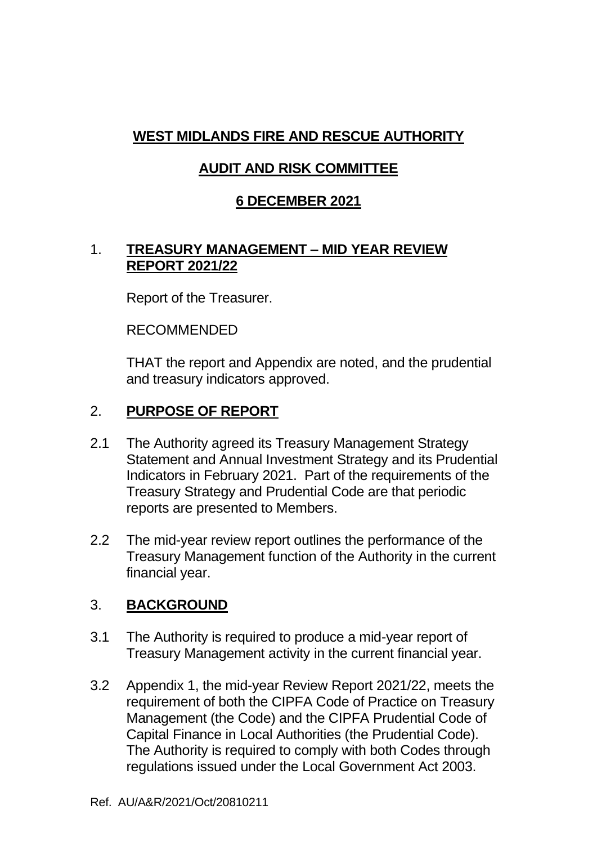# **WEST MIDLANDS FIRE AND RESCUE AUTHORITY**

# **AUDIT AND RISK COMMITTEE**

### **6 DECEMBER 2021**

#### 1. **TREASURY MANAGEMENT – MID YEAR REVIEW REPORT 2021/22**

Report of the Treasurer.

RECOMMENDED

THAT the report and Appendix are noted, and the prudential and treasury indicators approved.

### 2. **PURPOSE OF REPORT**

- 2.1 The Authority agreed its Treasury Management Strategy Statement and Annual Investment Strategy and its Prudential Indicators in February 2021. Part of the requirements of the Treasury Strategy and Prudential Code are that periodic reports are presented to Members.
- 2.2 The mid-year review report outlines the performance of the Treasury Management function of the Authority in the current financial year.

# 3. **BACKGROUND**

- 3.1 The Authority is required to produce a mid-year report of Treasury Management activity in the current financial year.
- 3.2 Appendix 1, the mid-year Review Report 2021/22, meets the requirement of both the CIPFA Code of Practice on Treasury Management (the Code) and the CIPFA Prudential Code of Capital Finance in Local Authorities (the Prudential Code). The Authority is required to comply with both Codes through regulations issued under the Local Government Act 2003.